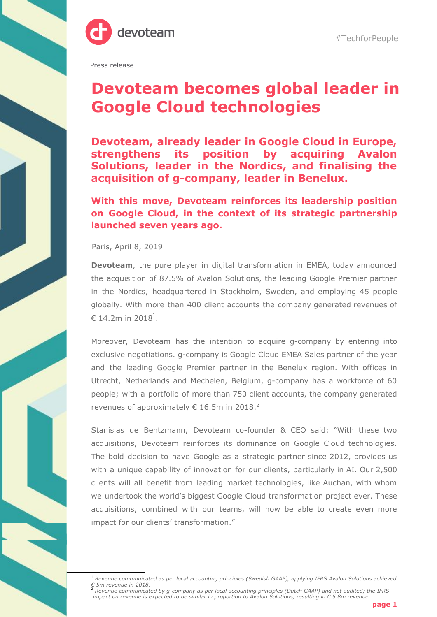

#TechforPeople

Press release

## **Devoteam becomes global leader in Google Cloud technologies**

**Devoteam, already leader in Google Cloud in Europe, strengthens its position by acquiring Avalon Solutions, leader in the Nordics, and finalising the acquisition of g-company, leader in Benelux.**

**With this move, Devoteam reinforces its leadership position on Google Cloud, in the context of its strategic partnership launched seven years ago.**

Paris, April 8, 2019

**Devoteam**, the pure player in digital transformation in EMEA, today announced the acquisition of 87.5% of Avalon Solutions, the leading Google Premier partner in the Nordics, headquartered in Stockholm, Sweden, and employing 45 people globally. With more than 400 client accounts the company generated revenues of € 14.2m in 2018 $^1$ .

Moreover, Devoteam has the intention to acquire g-company by entering into exclusive negotiations. g-company is Google Cloud EMEA Sales partner of the year and the leading Google Premier partner in the Benelux region. With offices in Utrecht, Netherlands and Mechelen, Belgium, g-company has a workforce of 60 people; with a portfolio of more than 750 client accounts, the company generated revenues of approximately  $\epsilon$  16.5m in 2018.<sup>2</sup>

Stanislas de Bentzmann, Devoteam co-founder & CEO said: "With these two acquisitions, Devoteam reinforces its dominance on Google Cloud technologies. The bold decision to have Google as a strategic partner since 2012, provides us with a unique capability of innovation for our clients, particularly in AI. Our 2,500 clients will all benefit from leading market technologies, like Auchan, with whom we undertook the world's biggest Google Cloud transformation project ever. These acquisitions, combined with our teams, will now be able to create even more impact for our clients' transformation."

<sup>1</sup> *Revenue communicated as per local accounting principles (Swedish GAAP), applying IFRS Avalon Solutions achieved*

<sup>€ 5</sup>m revenue in 2018.<br><sup>2</sup> Revenue communicated by g-company as per local accounting principles (Dutch GAAP) and not audited; the IFRS impact on revenue is expected to be similar in proportion to Avalon Solutions, resulting in  $\epsilon$  5.8m revenue.